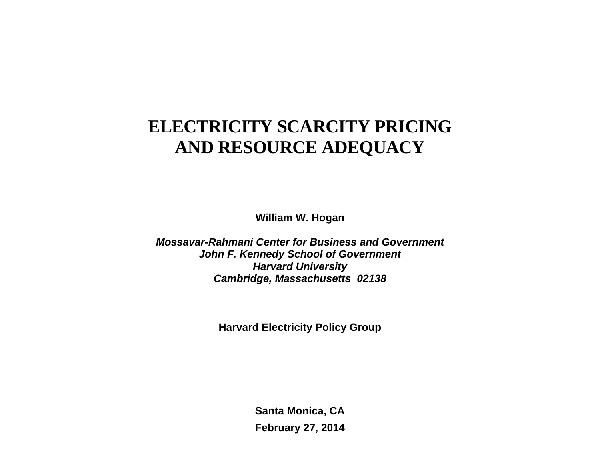# **ELECTRICITY SCARCITY PRICING AND RESOURCE ADEQUACY**

**William W. Hogan** 

*Mossavar-Rahmani Center for Business and Government John F. Kennedy School of Government Harvard University Cambridge, Massachusetts 02138*

**Harvard Electricity Policy Group**

**Santa Monica, CA February 27, 2014**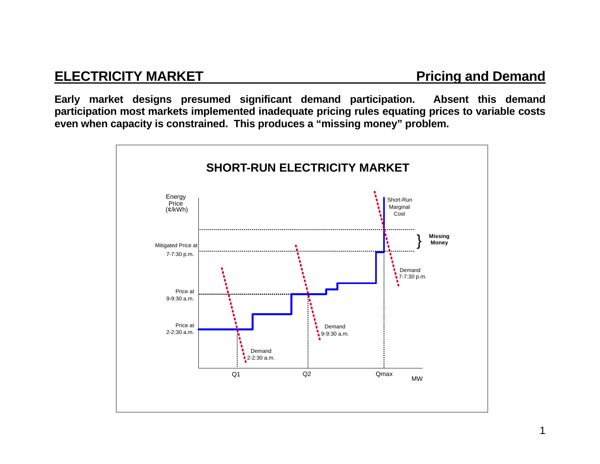### **ELECTRICITY MARKET Pricing and Demand Pricing and Demand**

**Early market designs presumed significant demand participation. Absent this demand participation most markets implemented inadequate pricing rules equating prices to variable costs even when capacity is constrained. This produces a "missing money" problem.** 

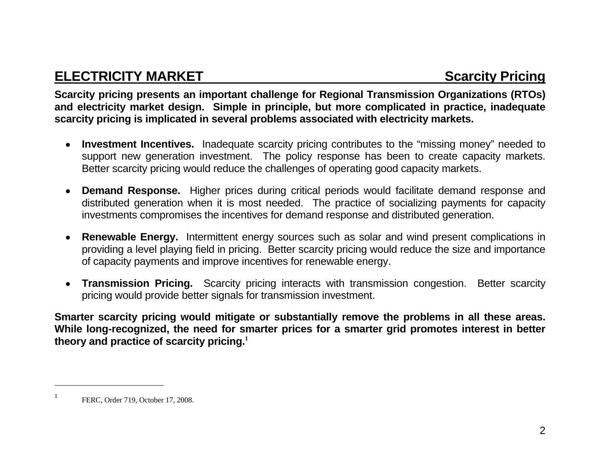### **ELECTRICITY MARKET SCARGISTS AND SCARGISTS AND SCARGISTS SCARGISTS**

**Scarcity pricing presents an important challenge for Regional Transmission Organizations (RTOs) and electricity market design. Simple in principle, but more complicated in practice, inadequate scarcity pricing is implicated in several problems associated with electricity markets.** 

- **Investment Incentives.** Inadequate scarcity pricing contributes to the "missing money" needed to support new generation investment. The policy response has been to create capacity markets. Better scarcity pricing would reduce the challenges of operating good capacity markets.
- **Demand Response.** Higher prices during critical periods would facilitate demand response and distributed generation when it is most needed. The practice of socializing payments for capacity investments compromises the incentives for demand response and distributed generation.
- **Renewable Energy.** Intermittent energy sources such as solar and wind present complications in providing a level playing field in pricing. Better scarcity pricing would reduce the size and importance of capacity payments and improve incentives for renewable energy.
- **Transmission Pricing.** Scarcity pricing interacts with transmission congestion. Better scarcity pricing would provide better signals for transmission investment.

**Smarter scarcity pricing would mitigate or substantially remove the problems in all these areas. While long-recognized, the need for smarter prices for a smarter grid promotes interest in better theory and practice of scarcity pricing.<sup>1</sup>**

FERC, Order 719, October 17, 2008.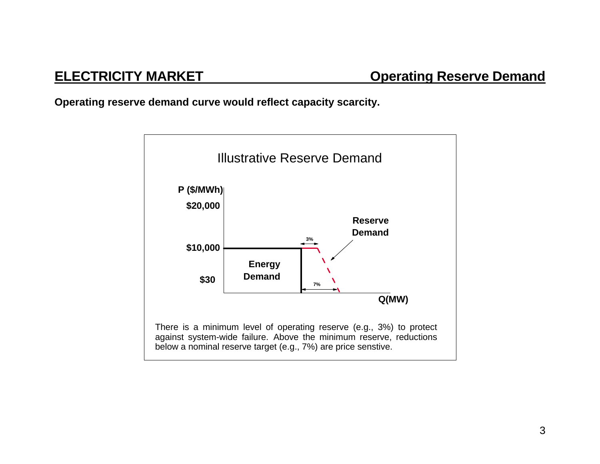**Operating reserve demand curve would reflect capacity scarcity.** 

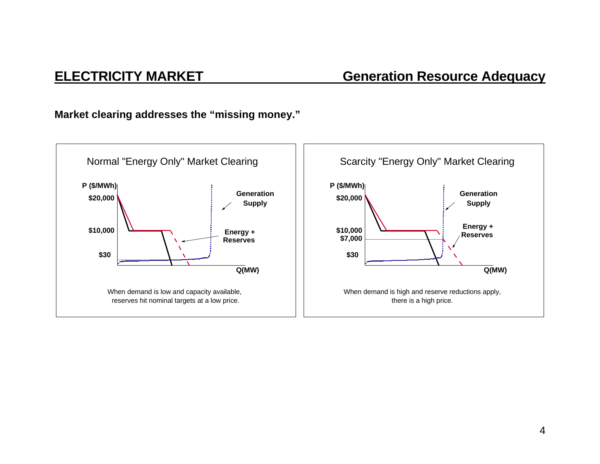### **ELECTRICITY MARKET Generation Resource Adequacy**

**Market clearing addresses the "missing money."** 

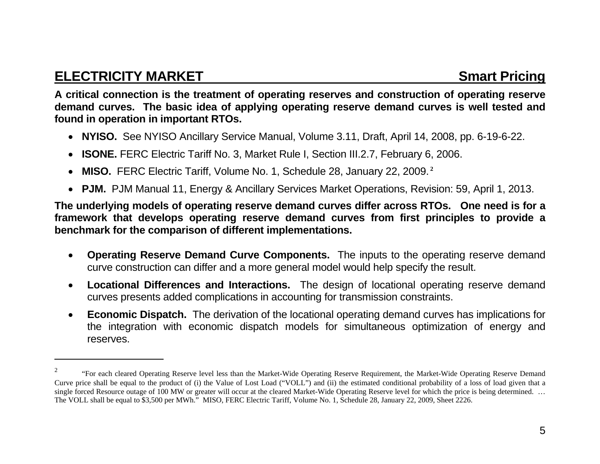### **ELECTRICITY MARKET Smart Pricing ATTACK SMARKET**

**A critical connection is the treatment of operating reserves and construction of operating reserve demand curves. The basic idea of applying operating reserve demand curves is well tested and found in operation in important RTOs.** 

- **NYISO.** See NYISO Ancillary Service Manual, Volume 3.11, Draft, April 14, 2008, pp. 6-19-6-22.
- $\bullet$ **ISONE.** FERC Electric Tariff No. 3, Market Rule I, Section III.2.7, February 6, 2006.
- $\bullet$ **MISO.** FERC Electric Tariff, Volume No. 1, Schedule 28, January 22, 2009.**<sup>2</sup>**
- **PJM.** PJM Manual 11, Energy & Ancillary Services Market Operations, Revision: 59, April 1, 2013.

**The underlying models of operating reserve demand curves differ across RTOs. One need is for a framework that develops operating reserve demand curves from first principles to provide a benchmark for the comparison of different implementations.** 

- $\bullet$  **Operating Reserve Demand Curve Components.** The inputs to the operating reserve demand curve construction can differ and a more general model would help specify the result.
- $\bullet$  **Locational Differences and Interactions.** The design of locational operating reserve demand curves presents added complications in accounting for transmission constraints.
- $\bullet$  **Economic Dispatch.** The derivation of the locational operating demand curves has implications for the integration with economic dispatch models for simultaneous optimization of energy and reserves.

<sup>&</sup>lt;sup>2</sup> "For each cleared Operating Reserve level less than the Market-Wide Operating Reserve Requirement, the Market-Wide Operating Reserve Demand Curve price shall be equal to the product of (i) the Value of Lost Load ("VOLL") and (ii) the estimated conditional probability of a loss of load given that a single forced Resource outage of 100 MW or greater will occur at the cleared Market-Wide Operating Reserve level for which the price is being determined. ... The VOLL shall be equal to \$3,500 per MWh." MISO, FERC Electric Tariff, Volume No. 1, Schedule 28, January 22, 2009, Sheet 2226.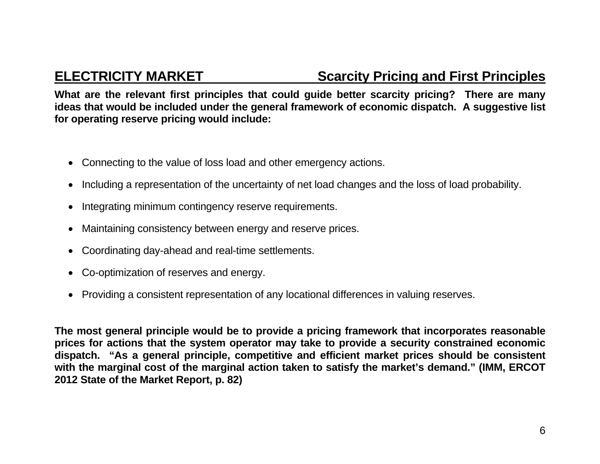### **ELECTRICITY MARKET Scarcity Pricing and First Principles**

**What are the relevant first principles that could guide better scarcity pricing? There are many ideas that would be included under the general framework of economic dispatch. A suggestive list for operating reserve pricing would include:** 

- Connecting to the value of loss load and other emergency actions.
- Including a representation of the uncertainty of net load changes and the loss of load probability.
- Integrating minimum contingency reserve requirements.
- Maintaining consistency between energy and reserve prices.
- Coordinating day-ahead and real-time settlements.
- Co-optimization of reserves and energy.
- Providing a consistent representation of any locational differences in valuing reserves.

**The most general principle would be to provide a pricing framework that incorporates reasonable prices for actions that the system operator may take to provide a security constrained economic dispatch. "As a general principle, competitive and efficient market prices should be consistent with the marginal cost of the marginal action taken to satisfy the market's demand." (IMM, ERCOT 2012 State of the Market Report, p. 82)**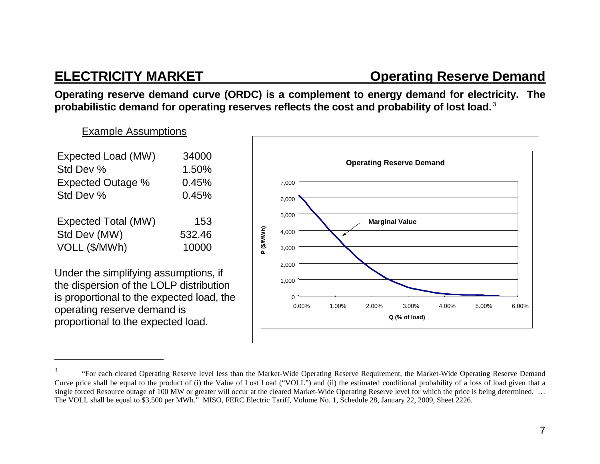### **ELECTRICITY MARKET CONSUMING CONSUMING CONSUMING CONSUMING CONSUMING CONSUMING CONSUMING CONSUMING CONSUMING CONSUMING CONSUMING CONSUMING CONSUMING CONSUMING CONSUMING CONSUMING CONSUMING CONSUMING CONSUMING CONSUMING CO**

**Operating reserve demand curve (ORDC) is a complement to energy demand for electricity. The probabilistic demand for operating reserves reflects the cost and probability of lost load.<sup>3</sup>**

Example Assumptions

| Expected Load (MW)<br>Std Dev %<br><b>Expected Outage %</b> | 34000<br>1.50%<br>0.45% |
|-------------------------------------------------------------|-------------------------|
| Std Dev %                                                   | 0.45%                   |
| <b>Expected Total (MW)</b>                                  | 153                     |
| Std Dev (MW)                                                | 532.46                  |
| VOLL (\$/MWh)                                               | 10000                   |

Under the simplifying assumptions, if the dispersion of the LOLP distribution is proportional to the expected load, the operating reserve demand is proportional to the expected load.



<sup>&</sup>lt;sup>3</sup> "For each cleared Operating Reserve level less than the Market-Wide Operating Reserve Requirement, the Market-Wide Operating Reserve Demand Curve price shall be equal to the product of (i) the Value of Lost Load ("VOLL") and (ii) the estimated conditional probability of a loss of load given that a single forced Resource outage of 100 MW or greater will occur at the cleared Market-Wide Operating Reserve level for which the price is being determined. ... The VOLL shall be equal to \$3,500 per MWh." MISO, FERC Electric Tariff, Volume No. 1, Schedule 28, January 22, 2009, Sheet 2226.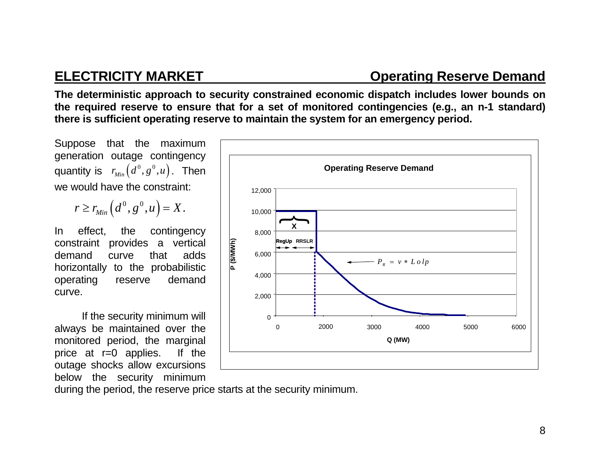### **ELECTRICITY MARKET CONSUMING CONSUMING RESERVE Demand**

**The deterministic approach to security constrained economic dispatch includes lower bounds on the required reserve to ensure that for a set of monitored contingencies (e.g., an n-1 standard) there is sufficient operating reserve to maintain the system for an emergency period.** 

Suppose that the maximum generation outage contingency quantity is  $r_{Min}(d^0, g^0, u)$ . Then we would have the constraint:

$$
r \geq r_{Min}\left(d^0, g^0, u\right) = X.
$$

In effect, the contingency constraint provides a vertical demand curve that adds horizontally to the probabilistic operating reserve demand curve.

If the security minimum will always be maintained over the monitored period, the marginal price at r=0 applies. If the outage shocks allow excursions below the security minimum



during the period, the reserve price starts at the security minimum.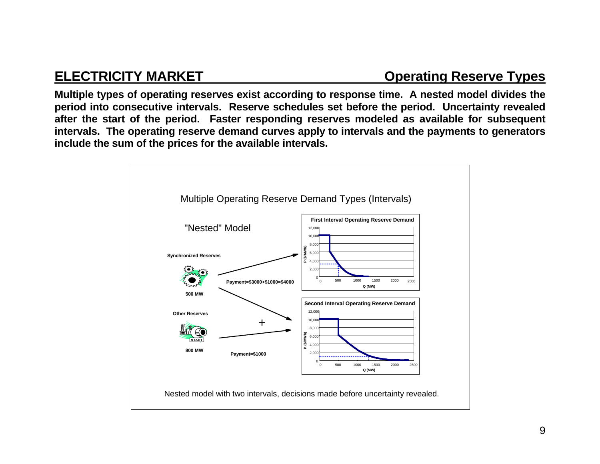### **ELECTRICITY MARKET CONSUMING CONSUMING CONSUMING CONSUMING CONSUMING CONSUMING CONSUMING CONSUMING CONSUMING CONSUMING CONSUMING CONSUMING CONSUMING CONSUMING CONSUMING CONSUMING CONSUMING CONSUMING CONSUMING CONSUMING CO**

**Multiple types of operating reserves exist according to response time. A nested model divides the period into consecutive intervals. Reserve schedules set before the period. Uncertainty revealed after the start of the period. Faster responding reserves modeled as available for subsequent intervals. The operating reserve demand curves apply to intervals and the payments to generators include the sum of the prices for the available intervals.** 

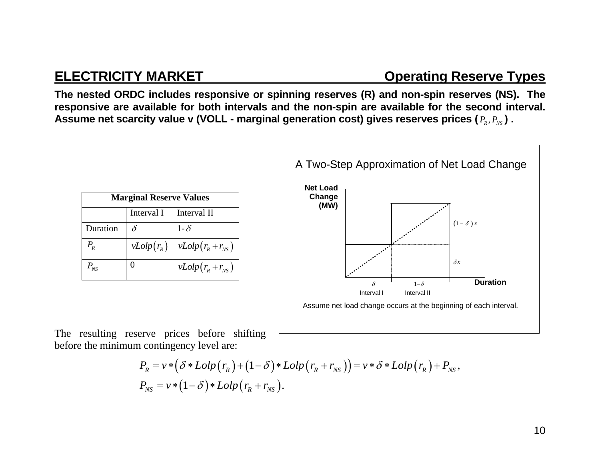### **ELECTRICITY MARKET CONSUMING CONSUMING CONSUMING CONSUMING CONSUMING CONSUMING CONSUMING CONSUMING CONSUMING CONSUMING CONSUMING CONSUMING CONSUMING CONSUMING CONSUMING CONSUMING CONSUMING CONSUMING CONSUMING CONSUMING CO**

**The nested ORDC includes responsive or spinning reserves (R) and non-spin reserves (NS). The responsive are available for both intervals and the non-spin are available for the second interval.**  Assume net scarcity value **v** (VOLL - marginal generation cost) gives reserves prices (  $P_{\scriptscriptstyle R}, P_{\scriptscriptstyle NS}$  ) .

| <b>Marginal Reserve Values</b> |              |                       |
|--------------------------------|--------------|-----------------------|
|                                | Interval I   | Interval II           |
| Duration                       | $\delta$     | $1-\delta$            |
| $P_{R}$                        | $vLolp(r_R)$ | $vLolp(r_R+r_{NS})$   |
| $P_{NS}$                       | 0            | $vLolp(r_R + r_{NS})$ |



The resulting reserve prices before shifting before the minimum contingency level are:

$$
P_R = v * (\delta * Lolp(r_R) + (1 - \delta) * Lolp(r_R + r_{NS})) = v * \delta * Lolp(r_R) + P_{NS},
$$
  
\n
$$
P_{NS} = v * (1 - \delta) * Lolp(r_R + r_{NS}).
$$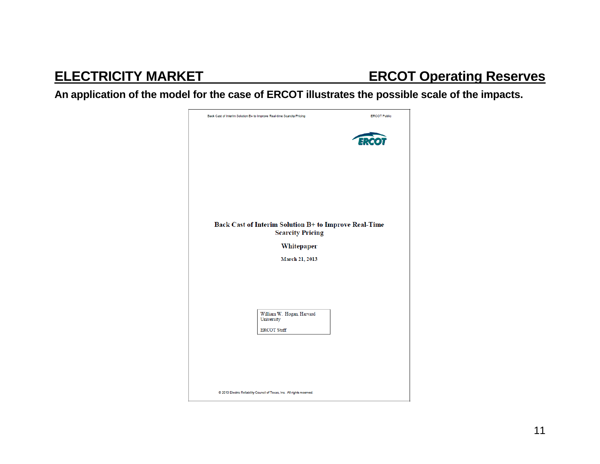## **ELECTRICITY MARKET ERCOT Operating Reserves**

**An application of the model for the case of ERCOT illustrates the possible scale of the impacts.** 

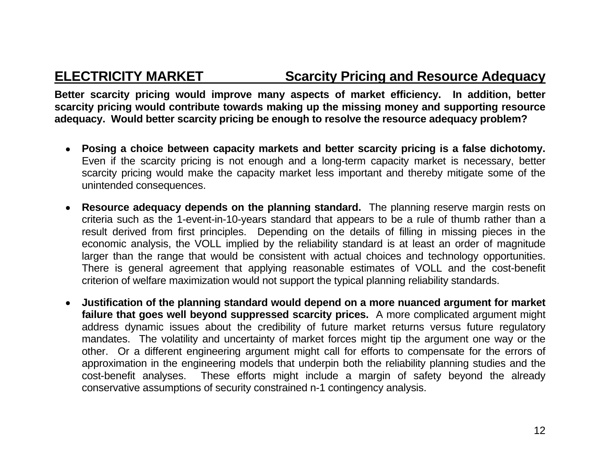### **ELECTRICITY MARKET Scarcity Pricing and Resource Adequacy**

**Better scarcity pricing would improve many aspects of market efficiency. In addition, better scarcity pricing would contribute towards making up the missing money and supporting resource adequacy. Would better scarcity pricing be enough to resolve the resource adequacy problem?** 

- **Posing a choice between capacity markets and better scarcity pricing is a false dichotomy.**  Even if the scarcity pricing is not enough and a long-term capacity market is necessary, better scarcity pricing would make the capacity market less important and thereby mitigate some of the unintended consequences.
- **Resource adequacy depends on the planning standard.** The planning reserve margin rests on criteria such as the 1-event-in-10-years standard that appears to be a rule of thumb rather than a result derived from first principles. Depending on the details of filling in missing pieces in the economic analysis, the VOLL implied by the reliability standard is at least an order of magnitude larger than the range that would be consistent with actual choices and technology opportunities. There is general agreement that applying reasonable estimates of VOLL and the cost-benefit criterion of welfare maximization would not support the typical planning reliability standards.
- **Justification of the planning standard would depend on a more nuanced argument for market failure that goes well beyond suppressed scarcity prices.** A more complicated argument might address dynamic issues about the credibility of future market returns versus future regulatory mandates. The volatility and uncertainty of market forces might tip the argument one way or the other. Or a different engineering argument might call for efforts to compensate for the errors of approximation in the engineering models that underpin both the reliability planning studies and the cost-benefit analyses. These efforts might include a margin of safety beyond the already conservative assumptions of security constrained n-1 contingency analysis.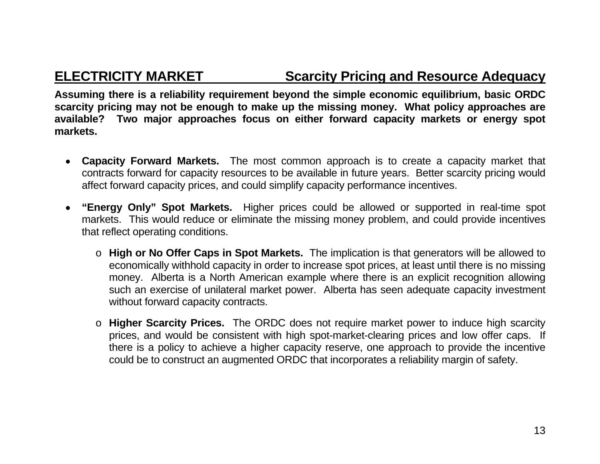### **ELECTRICITY MARKET Scarcity Pricing and Resource Adequacy**

**Assuming there is a reliability requirement beyond the simple economic equilibrium, basic ORDC scarcity pricing may not be enough to make up the missing money. What policy approaches are available? Two major approaches focus on either forward capacity markets or energy spot markets.** 

- **Capacity Forward Markets.** The most common approach is to create a capacity market that contracts forward for capacity resources to be available in future years. Better scarcity pricing would affect forward capacity prices, and could simplify capacity performance incentives.
- **"Energy Only" Spot Markets.** Higher prices could be allowed or supported in real-time spot markets. This would reduce or eliminate the missing money problem, and could provide incentives that reflect operating conditions.
	- o **High or No Offer Caps in Spot Markets.** The implication is that generators will be allowed to economically withhold capacity in order to increase spot prices, at least until there is no missing money. Alberta is a North American example where there is an explicit recognition allowing such an exercise of unilateral market power. Alberta has seen adequate capacity investment without forward capacity contracts.
	- o **Higher Scarcity Prices.** The ORDC does not require market power to induce high scarcity prices, and would be consistent with high spot-market-clearing prices and low offer caps. If there is a policy to achieve a higher capacity reserve, one approach to provide the incentive could be to construct an augmented ORDC that incorporates a reliability margin of safety.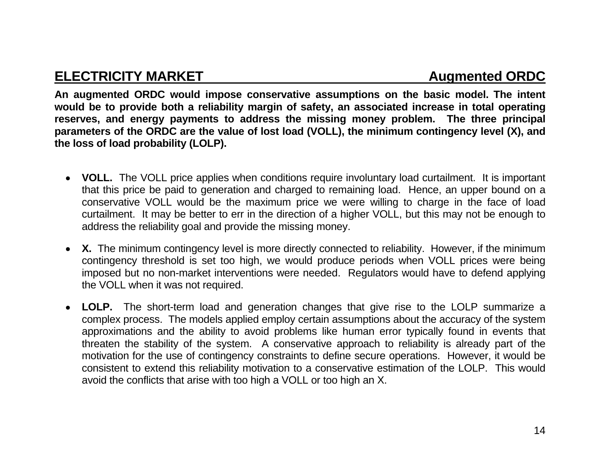**An augmented ORDC would impose conservative assumptions on the basic model. The intent would be to provide both a reliability margin of safety, an associated increase in total operating reserves, and energy payments to address the missing money problem. The three principal parameters of the ORDC are the value of lost load (VOLL), the minimum contingency level (X), and the loss of load probability (LOLP).** 

- **VOLL.** The VOLL price applies when conditions require involuntary load curtailment. It is important that this price be paid to generation and charged to remaining load. Hence, an upper bound on a conservative VOLL would be the maximum price we were willing to charge in the face of load curtailment. It may be better to err in the direction of a higher VOLL, but this may not be enough to address the reliability goal and provide the missing money.
- X. The minimum contingency level is more directly connected to reliability. However, if the minimum contingency threshold is set too high, we would produce periods when VOLL prices were being imposed but no non-market interventions were needed. Regulators would have to defend applying the VOLL when it was not required.
- **LOLP.** The short-term load and generation changes that give rise to the LOLP summarize a complex process. The models applied employ certain assumptions about the accuracy of the system approximations and the ability to avoid problems like human error typically found in events that threaten the stability of the system. A conservative approach to reliability is already part of the motivation for the use of contingency constraints to define secure operations. However, it would be consistent to extend this reliability motivation to a conservative estimation of the LOLP. This would avoid the conflicts that arise with too high a VOLL or too high an X.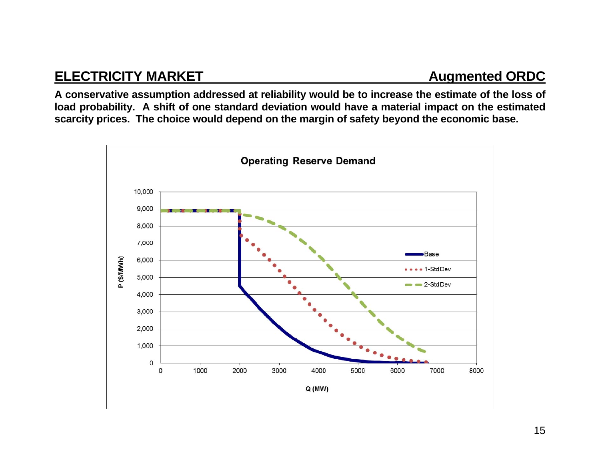### **ELECTRICITY MARKET Augmented ORDC**

**A conservative assumption addressed at reliability would be to increase the estimate of the loss of load probability. A shift of one standard deviation would have a material impact on the estimated scarcity prices. The choice would depend on the margin of safety beyond the economic base.** 

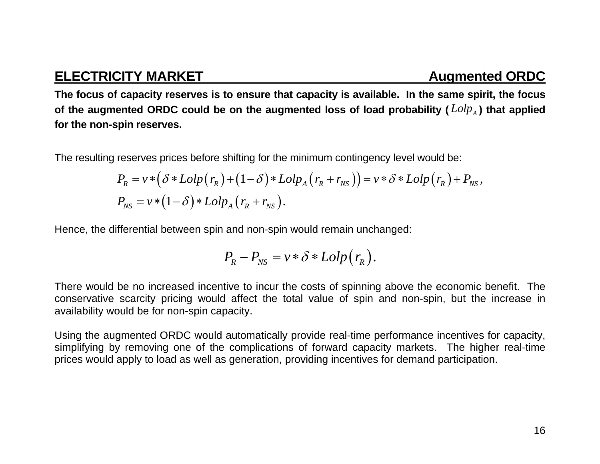### **ELECTRICITY MARKET Augmented ORDC**

**The focus of capacity reserves is to ensure that capacity is available. In the same spirit, the focus**  of the augmented ORDC could be on the augmented loss of load probability ( $\mathit{Lolp}_\text{A}$ ) that applied **for the non-spin reserves.** 

The resulting reserves prices before shifting for the minimum contingency level would be:

$$
P_R = v * (\delta * Lolp(r_R) + (1 - \delta) * Lolp_A (r_R + r_{NS})) = v * \delta * Lolp(r_R) + P_{NS},
$$
  
\n
$$
P_{NS} = v * (1 - \delta) * Lolp_A (r_R + r_{NS}).
$$

Hence, the differential between spin and non-spin would remain unchanged:

$$
P_R-P_{NS}=\nu*\delta*Lolp(r_R).
$$

There would be no increased incentive to incur the costs of spinning above the economic benefit. The conservative scarcity pricing would affect the total value of spin and non-spin, but the increase in availability would be for non-spin capacity.

Using the augmented ORDC would automatically provide real-time performance incentives for capacity, simplifying by removing one of the complications of forward capacity markets. The higher real-time prices would apply to load as well as generation, providing incentives for demand participation.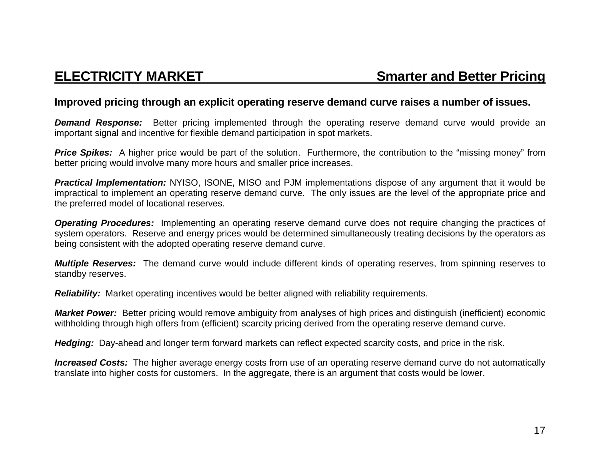### **Improved pricing through an explicit operating reserve demand curve raises a number of issues.**

**Demand Response:** Better pricing implemented through the operating reserve demand curve would provide an important signal and incentive for flexible demand participation in spot markets.

**Price Spikes:** A higher price would be part of the solution. Furthermore, the contribution to the "missing money" from better pricing would involve many more hours and smaller price increases.

*Practical Implementation:* NYISO, ISONE, MISO and PJM implementations dispose of any argument that it would be impractical to implement an operating reserve demand curve. The only issues are the level of the appropriate price and the preferred model of locational reserves.

*Operating Procedures:* Implementing an operating reserve demand curve does not require changing the practices of system operators. Reserve and energy prices would be determined simultaneously treating decisions by the operators as being consistent with the adopted operating reserve demand curve.

*Multiple Reserves:* The demand curve would include different kinds of operating reserves, from spinning reserves to standby reserves.

*Reliability:* Market operating incentives would be better aligned with reliability requirements.

*Market Power:* Better pricing would remove ambiguity from analyses of high prices and distinguish (inefficient) economic withholding through high offers from (efficient) scarcity pricing derived from the operating reserve demand curve.

*Hedging:* Day-ahead and longer term forward markets can reflect expected scarcity costs, and price in the risk.

*Increased Costs:* The higher average energy costs from use of an operating reserve demand curve do not automatically translate into higher costs for customers. In the aggregate, there is an argument that costs would be lower.